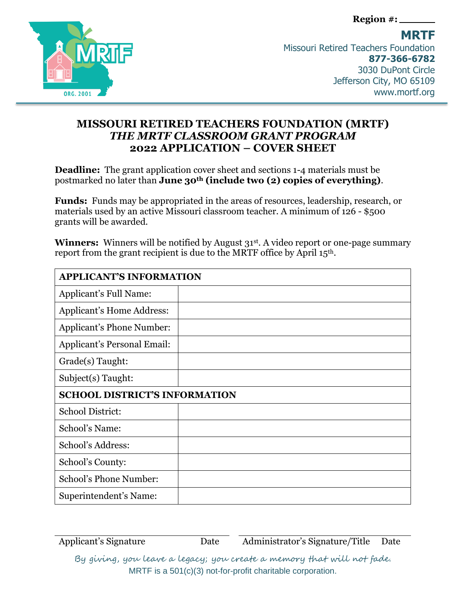**Region #:**



**MRTF**  Missouri Retired Teachers Foundation **877-366-6782** 3030 DuPont Circle Jefferson City, MO 65109 www.mortf.org

## **MISSOURI RETIRED TEACHERS FOUNDATION (MRTF)**  *THE MRTF CLASSROOM GRANT PROGRAM* **2022 APPLICATION – COVER SHEET**

**Deadline:** The grant application cover sheet and sections 1-4 materials must be postmarked no later than **June 30th (include two (2) copies of everything)**.

**Funds:** Funds may be appropriated in the areas of resources, leadership, research, or materials used by an active Missouri classroom teacher. A minimum of 126 - \$500 grants will be awarded.

**Winners:** Winners will be notified by August 31<sup>st</sup>. A video report or one-page summary report from the grant recipient is due to the MRTF office by April 15th.

| <b>APPLICANT'S INFORMATION</b>       |  |
|--------------------------------------|--|
| Applicant's Full Name:               |  |
| Applicant's Home Address:            |  |
| Applicant's Phone Number:            |  |
| <b>Applicant's Personal Email:</b>   |  |
| Grade(s) Taught:                     |  |
| Subject(s) Taught:                   |  |
| <b>SCHOOL DISTRICT'S INFORMATION</b> |  |
| <b>School District:</b>              |  |
| School's Name:                       |  |
| School's Address:                    |  |
| School's County:                     |  |
| School's Phone Number:               |  |
| Superintendent's Name:               |  |

Applicant's Signature Date Date Administrator's Signature/Title Date

By giving, you leave a legacy; you create a memory that will not fade. MRTF is a 501(c)(3) not-for-profit charitable corporation.